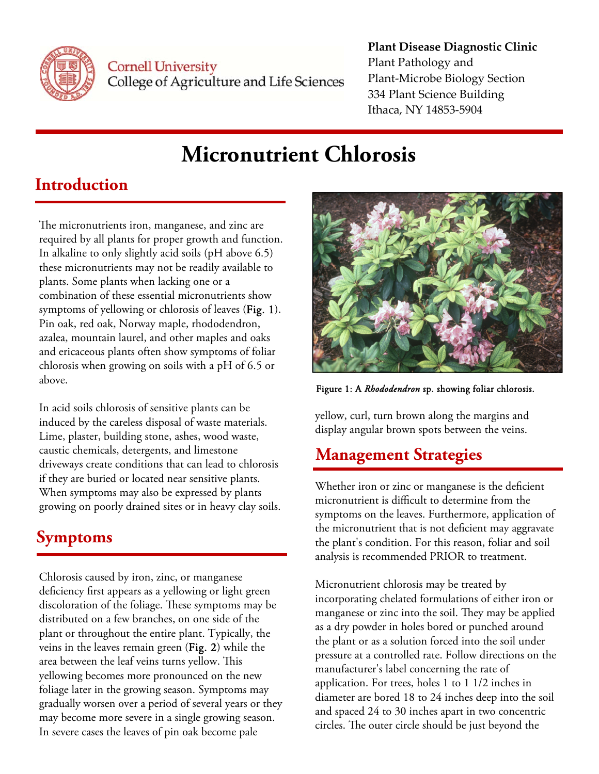

**Cornell University** College of Agriculture and Life Sciences

#### **Plant Disease Diagnostic Clinic** Plant Pathology and Plant‐Microbe Biology Section 334 Plant Science Building Ithaca, NY 14853‐5904

# **Micronutrient Chlorosis**

### **Introduction**

The micronutrients iron, manganese, and zinc are required by all plants for proper growth and function. In alkaline to only slightly acid soils (pH above 6.5) these micronutrients may not be readily available to plants. Some plants when lacking one or a combination of these essential micronutrients show symptoms of yellowing or chlorosis of leaves (Fig. 1). Pin oak, red oak, Norway maple, rhododendron, azalea, mountain laurel, and other maples and oaks and ericaceous plants often show symptoms of foliar chlorosis when growing on soils with a pH of 6.5 or above.

In acid soils chlorosis of sensitive plants can be induced by the careless disposal of waste materials. Lime, plaster, building stone, ashes, wood waste, caustic chemicals, detergents, and limestone driveways create conditions that can lead to chlorosis if they are buried or located near sensitive plants. When symptoms may also be expressed by plants growing on poorly drained sites or in heavy clay soils.

### **Symptoms**

Chlorosis caused by iron, zinc, or manganese deficiency first appears as a yellowing or light green discoloration of the foliage. These symptoms may be distributed on a few branches, on one side of the plant or throughout the entire plant. Typically, the veins in the leaves remain green (Fig. 2) while the area between the leaf veins turns yellow. This yellowing becomes more pronounced on the new foliage later in the growing season. Symptoms may gradually worsen over a period of several years or they may become more severe in a single growing season. In severe cases the leaves of pin oak become pale



Figure 1: A *Rhododendron* sp. showing foliar chlorosis.

yellow, curl, turn brown along the margins and display angular brown spots between the veins.

## **Management Strategies**

Whether iron or zinc or manganese is the deficient micronutrient is difficult to determine from the symptoms on the leaves. Furthermore, application of the micronutrient that is not deficient may aggravate the plant's condition. For this reason, foliar and soil analysis is recommended PRIOR to treatment.

Micronutrient chlorosis may be treated by incorporating chelated formulations of either iron or manganese or zinc into the soil. They may be applied as a dry powder in holes bored or punched around the plant or as a solution forced into the soil under pressure at a controlled rate. Follow directions on the manufacturer's label concerning the rate of application. For trees, holes 1 to 1 1/2 inches in diameter are bored 18 to 24 inches deep into the soil and spaced 24 to 30 inches apart in two concentric circles. The outer circle should be just beyond the